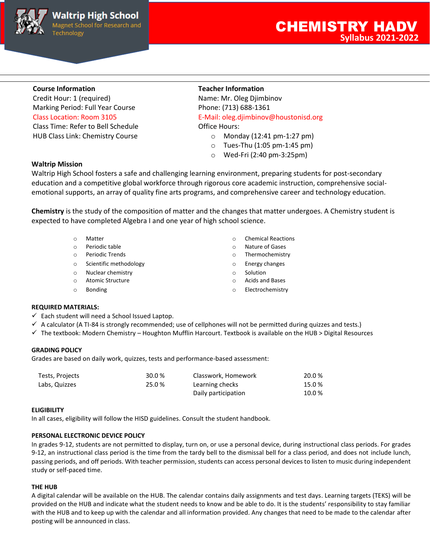

Credit Hour: 1 (required) Name: Mr. Oleg Djimbinov Marking Period: Full Year Course Phone: (713) 688-1361 Class Time: Refer to Bell Schedule Class Time: Refer to Bell Schedule HUB Class Link: Chemistry Course **of Course of Course of Monday (12:41 pm-1:27 pm)** 

# **Course Information Teacher Information**

Class Location: Room 3105 E-Mail: oleg.djimbinov@houstonisd.org

- 
- o Tues-Thu (1:05 pm-1:45 pm)
- o Wed-Fri (2:40 pm-3:25pm)

# **Waltrip Mission**

Waltrip High School fosters a safe and challenging learning environment, preparing students for post-secondary education and a competitive global workforce through rigorous core academic instruction, comprehensive socialemotional supports, an array of quality fine arts programs, and comprehensive career and technology education.

**Chemistry** is the study of the composition of matter and the changes that matter undergoes. A Chemistry student is expected to have completed Algebra I and one year of high school science.

- 
- 
- 
- o Scientific methodology and the set of the Scientific methodology and the set of the Energy changes
- o Nuclear chemistry o Solution
- o Atomic Structure o Acids and Bases
- 
- o Matter o Chemical Reactions
- o Periodic table o Nature of Gases
- o Periodic Trends o Thermochemistry
	-
	-
	-
- o Bonding o Electrochemistry

# **REQUIRED MATERIALS:**

- $\checkmark$  Each student will need a School Issued Laptop.
- $\checkmark$  A calculator (A TI-84 is strongly recommended; use of cellphones will not be permitted during quizzes and tests.)
- ✓ The textbook: Modern Chemistry Houghton Mufflin Harcourt. Textbook is available on the HUB > Digital Resources

# **GRADING POLICY**

Grades are based on daily work, quizzes, tests and performance-based assessment:

| Tests, Projects | 30.0% | Classwork, Homework | 20.0% |
|-----------------|-------|---------------------|-------|
| Labs, Quizzes   | 25.0% | Learning checks     | 15.0% |
|                 |       | Daily participation | 10.0% |

# **ELIGIBILITY**

In all cases, eligibility will follow the HISD guidelines. Consult the student handbook.

# **PERSONAL ELECTRONIC DEVICE POLICY**

In grades 9-12, students are not permitted to display, turn on, or use a personal device, during instructional class periods. For grades 9-12, an instructional class period is the time from the tardy bell to the dismissal bell for a class period, and does not include lunch, passing periods, and off periods. With teacher permission, students can access personal devices to listen to music during independent study or self-paced time.

# **THE HUB**

A digital calendar will be available on the HUB. The calendar contains daily assignments and test days. Learning targets (TEKS) will be provided on the HUB and indicate what the student needs to know and be able to do. It is the students' responsibility to stay familiar with the HUB and to keep up with the calendar and all information provided. Any changes that need to be made to the calendar after posting will be announced in class.